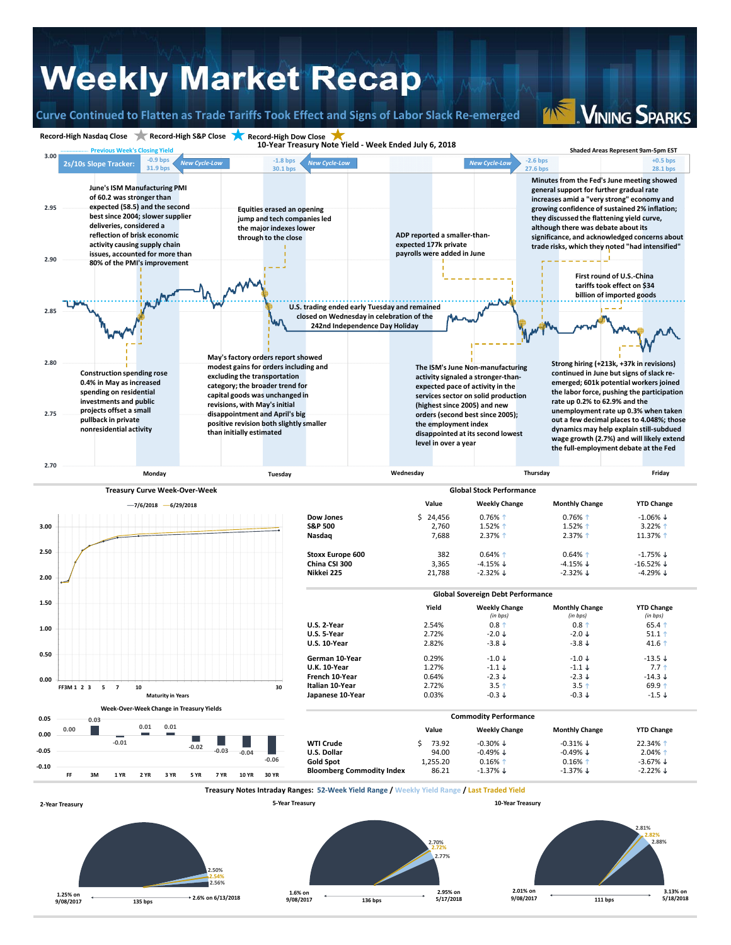## **Weekly Market Recap**

**Curve Continued to Flatten as Trade Tariffs Took Effect and Signs of Labor Slack Re‐emerged**

**VINING SPARKS**